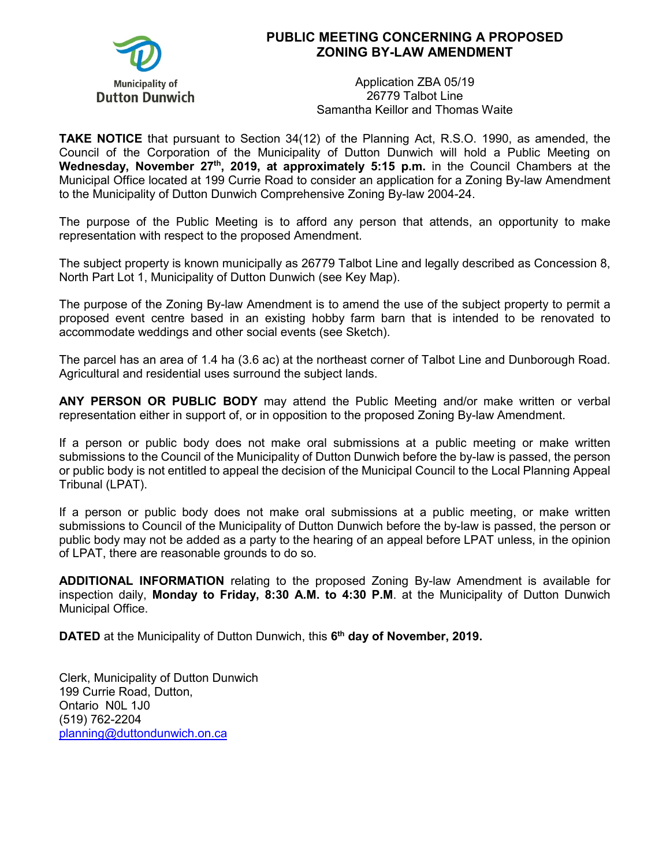

## **PUBLIC MEETING CONCERNING A PROPOSED ZONING BY-LAW AMENDMENT**

Application ZBA 05/19 26779 Talbot Line Samantha Keillor and Thomas Waite

**TAKE NOTICE** that pursuant to Section 34(12) of the Planning Act, R.S.O. 1990, as amended, the Council of the Corporation of the Municipality of Dutton Dunwich will hold a Public Meeting on Wednesday, November 27<sup>th</sup>, 2019, at approximately 5:15 p.m. in the Council Chambers at the Municipal Office located at 199 Currie Road to consider an application for a Zoning By-law Amendment to the Municipality of Dutton Dunwich Comprehensive Zoning By-law 2004-24.

The purpose of the Public Meeting is to afford any person that attends, an opportunity to make representation with respect to the proposed Amendment.

The subject property is known municipally as 26779 Talbot Line and legally described as Concession 8, North Part Lot 1, Municipality of Dutton Dunwich (see Key Map).

The purpose of the Zoning By-law Amendment is to amend the use of the subject property to permit a proposed event centre based in an existing hobby farm barn that is intended to be renovated to accommodate weddings and other social events (see Sketch).

The parcel has an area of 1.4 ha (3.6 ac) at the northeast corner of Talbot Line and Dunborough Road. Agricultural and residential uses surround the subject lands.

**ANY PERSON OR PUBLIC BODY** may attend the Public Meeting and/or make written or verbal representation either in support of, or in opposition to the proposed Zoning By-law Amendment.

If a person or public body does not make oral submissions at a public meeting or make written submissions to the Council of the Municipality of Dutton Dunwich before the by-law is passed, the person or public body is not entitled to appeal the decision of the Municipal Council to the Local Planning Appeal Tribunal (LPAT).

If a person or public body does not make oral submissions at a public meeting, or make written submissions to Council of the Municipality of Dutton Dunwich before the by-law is passed, the person or public body may not be added as a party to the hearing of an appeal before LPAT unless, in the opinion of LPAT, there are reasonable grounds to do so.

**ADDITIONAL INFORMATION** relating to the proposed Zoning By-law Amendment is available for inspection daily, **Monday to Friday, 8:30 A.M. to 4:30 P.M**. at the Municipality of Dutton Dunwich Municipal Office.

**DATED** at the Municipality of Dutton Dunwich, this **6th day of November, 2019.**

Clerk, Municipality of Dutton Dunwich 199 Currie Road, Dutton, Ontario N0L 1J0 (519) 762-2204 [planning@duttondunwich.on.ca](mailto:planning@duttondunwich.on.ca)